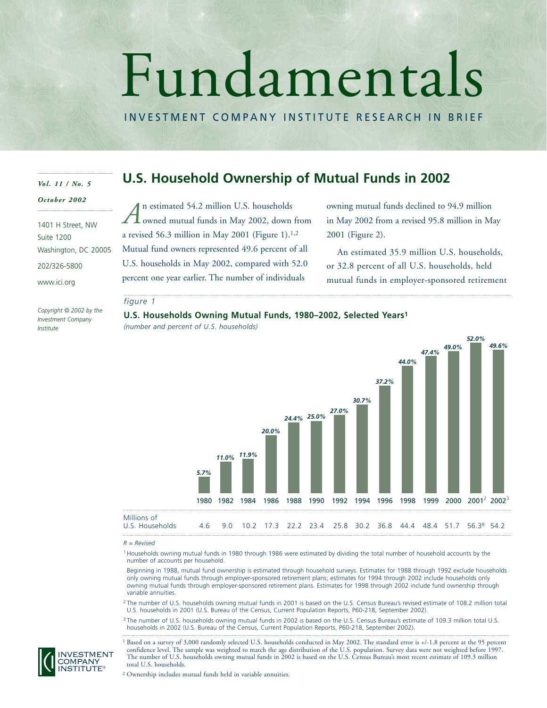# Fundamentals

INVESTMENT COMPANY INSTITUTE RESEARCH IN BRIEF

## *Vol. 11 / No. 5*

*October 2002*

# **U.S. Household Ownership of Mutual Funds in 2002**

1401 H Street, NW Suite 1200 Washington, DC 20005 202/326-5800 www.ici.org

owned mutual funds in May 2002, down from a revised 56.3 million in May 2001 (Figure 1). $1,2$ Mutual fund owners represented 49.6 percent of all U.S. households in May 2002, compared with 52.0 percent one year earlier. The number of individuals *A*

n estimated 54.2 million U.S. households

owning mutual funds declined to 94.9 million in May 2002 from a revised 95.8 million in May 2001 (Figure 2).

An estimated 35.9 million U.S. households, or 32.8 percent of all U.S. households, held mutual funds in employer-sponsored retirement

#### *figure 1*

*Copyright © 2002 by the Investment Company Institute*

**U.S. Households Owning Mutual Funds, 1980–2002, Selected Years1** *(number and percent of U.S. households)*



*R = Revised*

<sup>1</sup> Households owning mutual funds in 1980 through 1986 were estimated by dividing the total number of household accounts by the number of accounts per household.

Beginning in 1988, mutual fund ownership is estimated through household surveys. Estimates for 1988 through 1992 exclude households only owning mutual funds through employer-sponsored retirement plans; estimates for 1994 through 2002 include households only owning mutual funds through employer-sponsored retirement plans. Estimates for 1998 through 2002 include fund ownership through variable annuities.

<sup>2</sup> The number of U.S. households owning mutual funds in 2001 is based on the U.S. Census Bureau's revised estimate of 108.2 million total U.S. households in 2001 (U.S. Bureau of the Census, Current Population Reports, P60-218, September 2002).

<sup>3</sup> The number of U.S. households owning mutual funds in 2002 is based on the U.S. Census Bureau's estimate of 109.3 million total U.S. households in 2002 (U.S. Bureau of the Census, Current Population Reports, P60-218, September 2002).

<sup>1</sup> Based on a survey of 3,000 randomly selected U.S. households conducted in May 2002. The standard error is +/-1.8 percent at the 95 percent confidence level. The sample was weighted to match the age distribution of the U.S. population. Survey data were not weighted before 1997. The number of U.S. households owning mutual funds in 2002 is based on the U.S. Census Bureau's most recent estimate of 109.3 million total U.S. households.

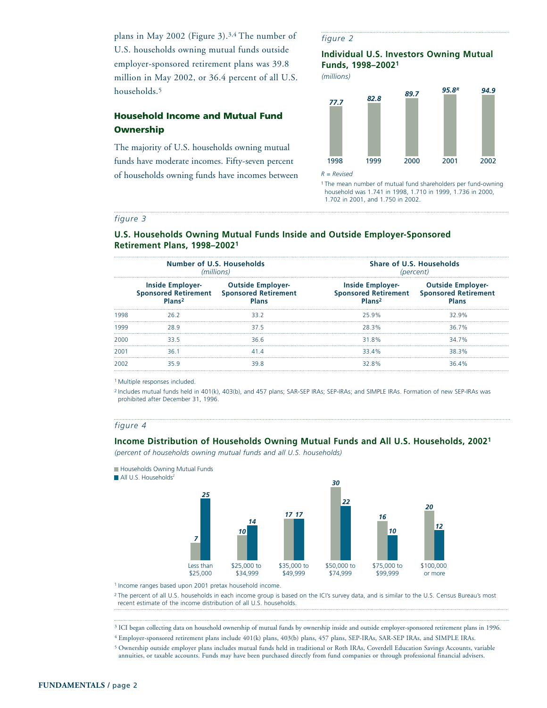plans in May 2002 (Figure 3).3,4 The number of U.S. households owning mutual funds outside employer-sponsored retirement plans was 39.8 million in May 2002, or 36.4 percent of all U.S. households.<sup>5</sup>

# **Household Income and Mutual Fund Ownership**

The majority of U.S. households owning mutual funds have moderate incomes. Fifty-seven percent of households owning funds have incomes between

#### *figure 2*

**Individual U.S. Investors Owning Mutual Funds, 1998–20021**

*(millions)*



<sup>1</sup> The mean number of mutual fund shareholders per fund-owning household was 1.741 in 1998, 1.710 in 1999, 1.736 in 2000, 1.702 in 2001, and 1.750 in 2002.

#### *figure 3*

#### **U.S. Households Owning Mutual Funds Inside and Outside Employer-Sponsored Retirement Plans, 1998–20021**

|      | <b>Number of U.S. Households</b><br>(millions) |                                                                                       | Share of U.S. Households<br>(percent)         |                                                                                |  |
|------|------------------------------------------------|---------------------------------------------------------------------------------------|-----------------------------------------------|--------------------------------------------------------------------------------|--|
|      | <b>Inside Employer-</b><br>Plans <sup>2</sup>  | <b>Outside Employer-</b><br>Sponsored Retirement Sponsored Retirement<br><b>Plans</b> | <b>Inside Employer-</b><br>Plans <sup>2</sup> | <b>Outside Employer-</b><br>Sponsored Retirement Sponsored Retirement<br>Plans |  |
| 1998 | 26.2                                           | 33.2                                                                                  | 25.9%                                         | 32.9%                                                                          |  |
| 1999 |                                                | 37.5                                                                                  | 28.3%                                         | 36.7%                                                                          |  |
| 2000 | 33.5                                           | 36.6                                                                                  | 31.8%                                         | 34 7%                                                                          |  |
| 2001 | 361                                            | 414                                                                                   | 33.4%                                         | 38.3%                                                                          |  |
|      |                                                | 39 S                                                                                  | 32.8%                                         | 36.4%                                                                          |  |

<sup>1</sup> Multiple responses included.

<sup>2</sup> Includes mutual funds held in 401(k), 403(b), and 457 plans; SAR-SEP IRAs; SEP-IRAs; and SIMPLE IRAs. Formation of new SEP-IRAs was prohibited after December 31, 1996.

#### *figure 4*

#### **Income Distribution of Households Owning Mutual Funds and All U.S. Households, 20021**

*(percent of households owning mutual funds and all U.S. households)*



1 Income ranges based upon 2001 pretax household income.

<sup>2</sup> The percent of all U.S. households in each income group is based on the ICI's survey data, and is similar to the U.S. Census Bureau's most recent estimate of the income distribution of all U.S. households.

<sup>3</sup> ICI began collecting data on household ownership of mutual funds by ownership inside and outside employer-sponsored retirement plans in 1996.

<sup>4</sup> Employer-sponsored retirement plans include 401(k) plans, 403(b) plans, 457 plans, SEP-IRAs, SAR-SEP IRAs, and SIMPLE IRAs.

<sup>5</sup> Ownership outside employer plans includes mutual funds held in traditional or Roth IRAs, Coverdell Education Savings Accounts, variable annuities, or taxable accounts. Funds may have been purchased directly from fund companies or through professional financial advisers.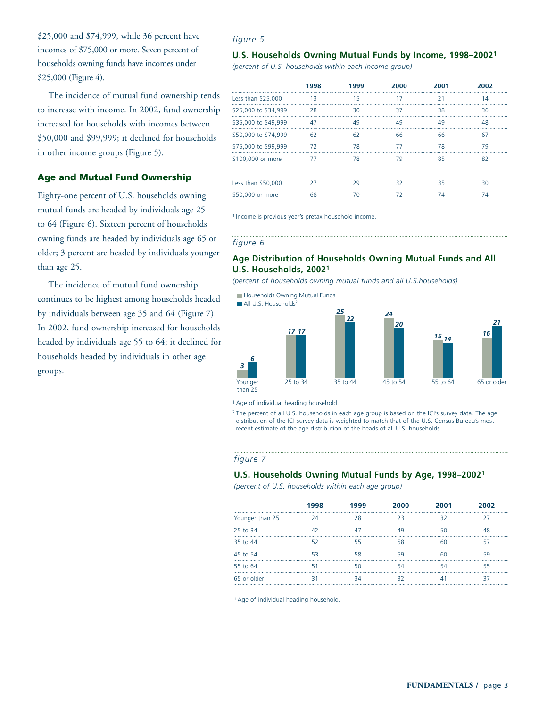\$25,000 and \$74,999, while 36 percent have incomes of \$75,000 or more. Seven percent of households owning funds have incomes under \$25,000 (Figure 4).

The incidence of mutual fund ownership tends to increase with income. In 2002, fund ownership increased for households with incomes between \$50,000 and \$99,999; it declined for households in other income groups (Figure 5).

## **Age and Mutual Fund Ownership**

Eighty-one percent of U.S. households owning mutual funds are headed by individuals age 25 to 64 (Figure 6). Sixteen percent of households owning funds are headed by individuals age 65 or older; 3 percent are headed by individuals younger than age 25.

The incidence of mutual fund ownership continues to be highest among households headed by individuals between age 35 and 64 (Figure 7). In 2002, fund ownership increased for households headed by individuals age 55 to 64; it declined for households headed by individuals in other age groups.

#### *figure 5*

#### **U.S. Households Owning Mutual Funds by Income, 1998–20021**

*(percent of U.S. households within each income group)*

|                      | 1998 | 1999 | 2000 | 2001 | 2002 |
|----------------------|------|------|------|------|------|
| Less than \$25,000   | 13   | 15   | 17   | 21   | 14   |
| \$25,000 to \$34,999 | 28   | 30   | 37   | 38   | 36   |
| \$35,000 to \$49,999 | 47   | 49   | 49   | 49   | 48   |
| \$50,000 to \$74,999 | 62   | 62   | 66   | 66   | 67   |
| \$75,000 to \$99,999 | 72   | 78   | 77   | 78   | 79   |
| \$100,000 or more    | 77   | 78   | 79   | 85   | 82   |
|                      |      |      |      |      |      |
| Less than \$50,000   | 27   | 29   | 32   | 35   | ٩O   |
| \$50,000 or more     | 68   |      | 77   | 7Δ   | 7Δ   |

<sup>1</sup> Income is previous year's pretax household income.

#### *figure 6*

### **Age Distribution of Households Owning Mutual Funds and All U.S. Households, 20021**

*(percent of households owning mutual funds and all U.S.households)*



<sup>1</sup> Age of individual heading household.

<sup>2</sup> The percent of all U.S. households in each age group is based on the ICI's survey data. The age distribution of the ICI survey data is weighted to match that of the U.S. Census Bureau's most recent estimate of the age distribution of the heads of all U.S. households.

#### *figure 7*

#### **U.S. Households Owning Mutual Funds by Age, 1998–20021**

*(percent of U.S. households within each age group)*

|                 | 1998 | 1999 | 2000 | 2001 | 2002 |
|-----------------|------|------|------|------|------|
| Younger than 25 |      | 28   |      | 32   |      |
| 25 to 34        |      |      |      |      | 18   |
| 35 to 44        |      | 55   | 58   |      |      |
| 45 to 54        |      | 58   | 59   |      | 59   |
| 55 to 64        |      |      |      |      | 55   |
| 65 or older     |      |      |      |      |      |

<sup>1</sup> Age of individual heading household.